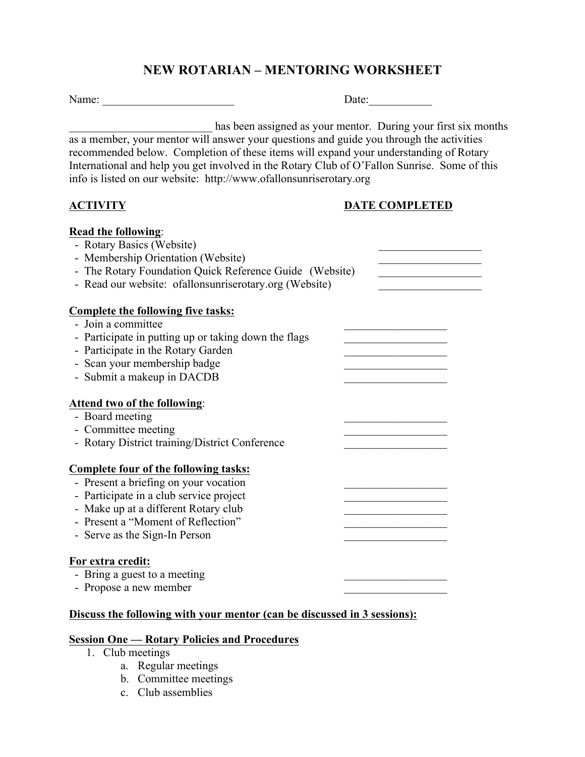## **NEW ROTARIAN – MENTORING WORKSHEET**

Name: \_\_\_\_\_\_\_\_\_\_\_\_\_\_\_\_\_\_\_\_\_\_\_ Date:\_\_\_\_\_\_\_\_\_\_\_

has been assigned as your mentor. During your first six months as a member, your mentor will answer your questions and guide you through the activities recommended below. Completion of these items will expand your understanding of Rotary International and help you get involved in the Rotary Club of O'Fallon Sunrise. Some of this info is listed on our website: http://www.ofallonsunriserotary.org

### **ACTIVITY DATE COMPLETED**

| Read the following:                                      |  |
|----------------------------------------------------------|--|
| - Rotary Basics (Website)                                |  |
| - Membership Orientation (Website)                       |  |
| - The Rotary Foundation Quick Reference Guide (Website)  |  |
| - Read our website: of allonsunriser otary org (Website) |  |
|                                                          |  |
| <b>Complete the following five tasks:</b>                |  |
| - Join a committee                                       |  |
| - Participate in putting up or taking down the flags     |  |
| - Participate in the Rotary Garden                       |  |
| - Scan your membership badge                             |  |
| - Submit a makeup in DACDB                               |  |
|                                                          |  |
| <b>Attend two of the following:</b>                      |  |
| - Board meeting                                          |  |
| - Committee meeting                                      |  |
| - Rotary District training/District Conference           |  |
|                                                          |  |
| <b>Complete four of the following tasks:</b>             |  |
| - Present a briefing on your vocation                    |  |
| - Participate in a club service project                  |  |
| - Make up at a different Rotary club                     |  |
| - Present a "Moment of Reflection"                       |  |
| - Serve as the Sign-In Person                            |  |
|                                                          |  |
| For extra credit:                                        |  |
| - Bring a guest to a meeting                             |  |
| - Propose a new member                                   |  |
|                                                          |  |

#### **Discuss the following with your mentor (can be discussed in 3 sessions):**

## **Session One — Rotary Policies and Procedures**

- 1. Club meetings
	- a. Regular meetings
	- b. Committee meetings
	- c. Club assemblies